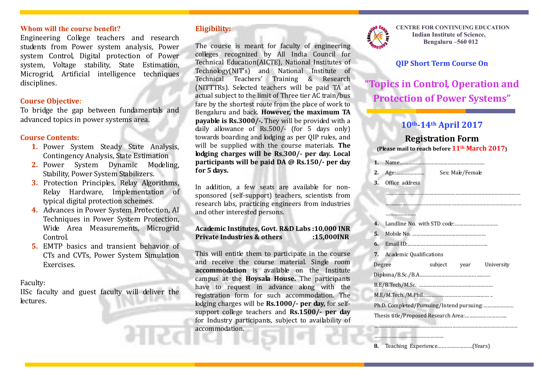#### **Whom will the course benefit?**

Engineering College teachers and research students from Power system analysis, Power system Control, Digital protection of Power system, Voltage stability, State Estimation, Microgrid, Artificial intelligence techniques disciplines.

#### **Course Objective:**

To bridge the gap between fundamentals and advanced topics in power systems area.

#### **Course Contents:**

- **1.** Power System Steady State Analysis, Contingency Analysis, State Estimation
- **2.** Power System Dynamic Modeling, Stability, Power System Stabilizers.
- **3.** Protection Principles, Relay Algorithms, Relay Hardware, Implementation of typical digital protection schemes.
- **4.** Advances in Power System Protection, AI Techniques in Power System Protection, Wide Area Measurements, Microgrid Control.
- **5.** EMTP basics and transient behavior of CTs and CVTs, Power System Simulation Exercises.

#### Faculty:

IISc faculty and guest faculty will deliver the lectures.

### **Eligibility:**

The course is meant for faculty of engineering colleges recognized by All India Council for Technical Education(AICTE), National Institutes of Technology(NIT's) and National Institute of Technical Teachers' Training & Research (NITTTRs). Selected teachers will be paid TA at actual subject to the limit of Three tier AC train/bus fare by the shortest route from the place of work to Bengaluru and back. **However, the maximum TA payable is Rs.3000/-.** They will be provided with a daily allowance of Rs.500/- (for 5 days only) towards boarding and lodging as per QIP rules, and will be supplied with the course materials. **The lodging charges will be Rs.300/- per day. Local participants will be paid DA @ Rs.150/- per day for 5 days.**

In addition, a few seats are available for nonsponsored (self-support) teachers, scientists from research labs, practicing engineers from industries and other interested persons.

**Academic Institutes, Govt. R&D Labs :10,000 INR Private Industries & others :15,000INR**

This will entitle them to participate in the course and receive the course material. Single room **accommodation** is available on the Institute campus at the **Hoysala House.** The participants have to request in advance along with the registration form for such accommodation. The lodging charges will be **Rs.1000/- per day,** for selfsupport college teachers and **Rs.1500/- per day** for Industry participants, subject to availability of accommodation.



**CENTRE FOR CONTINUING EDUCATION Indian Institute of Science, Bengaluru –560 012**

### **QIP Short Term Course On**

**"Topics in Control, Operation and Protection of Power Systems"**

## **10th-14th April 2017**

### **Registration Form (Please mail to reach before 11th March 2017)**

………………………………………………………………………………… …….......……….………………………………………………………………

|  | Sex: Male/Female |
|--|------------------|

**3.** Office address

…………………

| 5.                  |                                   |              |  |            |  |  |
|---------------------|-----------------------------------|--------------|--|------------|--|--|
| 6.                  |                                   |              |  |            |  |  |
|                     | <b>7.</b> Academic Qualifications |              |  |            |  |  |
| Degree              |                                   | subject year |  | University |  |  |
| $Diploma/B.Sc./B.A$ |                                   |              |  |            |  |  |
|                     |                                   |              |  |            |  |  |
|                     |                                   |              |  |            |  |  |
|                     |                                   |              |  |            |  |  |
|                     |                                   |              |  |            |  |  |

………………………………………………………………………………………

**8.** Teaching Experience……………………(Years)

…………………………………………